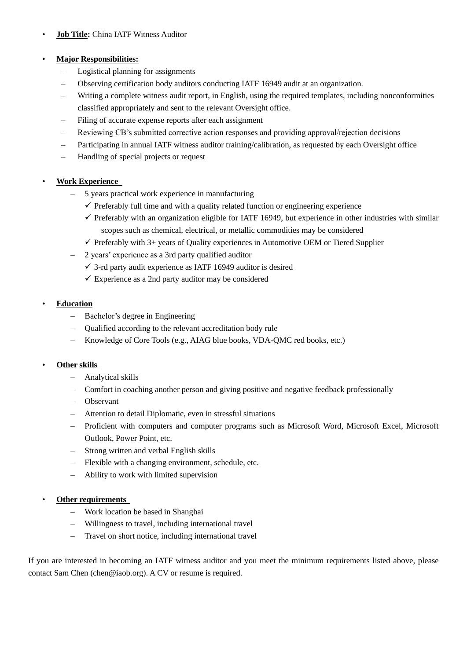# • **Job Title:** China IATF Witness Auditor

### • **Major Responsibilities:**

- Logistical planning for assignments
- Observing certification body auditors conducting IATF 16949 audit at an organization.
- Writing a complete witness audit report, in English, using the required templates, including nonconformities classified appropriately and sent to the relevant Oversight office.
- Filing of accurate expense reports after each assignment
- Reviewing CB's submitted corrective action responses and providing approval/rejection decisions
- Participating in annual IATF witness auditor training/calibration, as requested by each Oversight office
- Handling of special projects or request

# • **Work Experience**

- 5 years practical work experience in manufacturing
	- $\checkmark$  Preferably full time and with a quality related function or engineering experience
	- $\checkmark$  Preferably with an organization eligible for IATF 16949, but experience in other industries with similar scopes such as chemical, electrical, or metallic commodities may be considered
	- $\checkmark$  Preferably with 3+ years of Quality experiences in Automotive OEM or Tiered Supplier
- 2 years' experience as a 3rd party qualified auditor
	- $\checkmark$  3-rd party audit experience as IATF 16949 auditor is desired
	- $\checkmark$  Experience as a 2nd party auditor may be considered

### • **Education**

- Bachelor's degree in Engineering
- Qualified according to the relevant accreditation body rule
- Knowledge of Core Tools (e.g., AIAG blue books, VDA-QMC red books, etc.)

#### • **Other skills**

- Analytical skills
- Comfort in coaching another person and giving positive and negative feedback professionally
- Observant
- Attention to detail Diplomatic, even in stressful situations
- Proficient with computers and computer programs such as Microsoft Word, Microsoft Excel, Microsoft Outlook, Power Point, etc.
- Strong written and verbal English skills
- Flexible with a changing environment, schedule, etc.
- Ability to work with limited supervision

### • **Other requirements**

- Work location be based in Shanghai
- Willingness to travel, including international travel
- Travel on short notice, including international travel

If you are interested in becoming an IATF witness auditor and you meet the minimum requirements listed above, please contact Sam Chen (chen@iaob.org). A CV or resume is required.